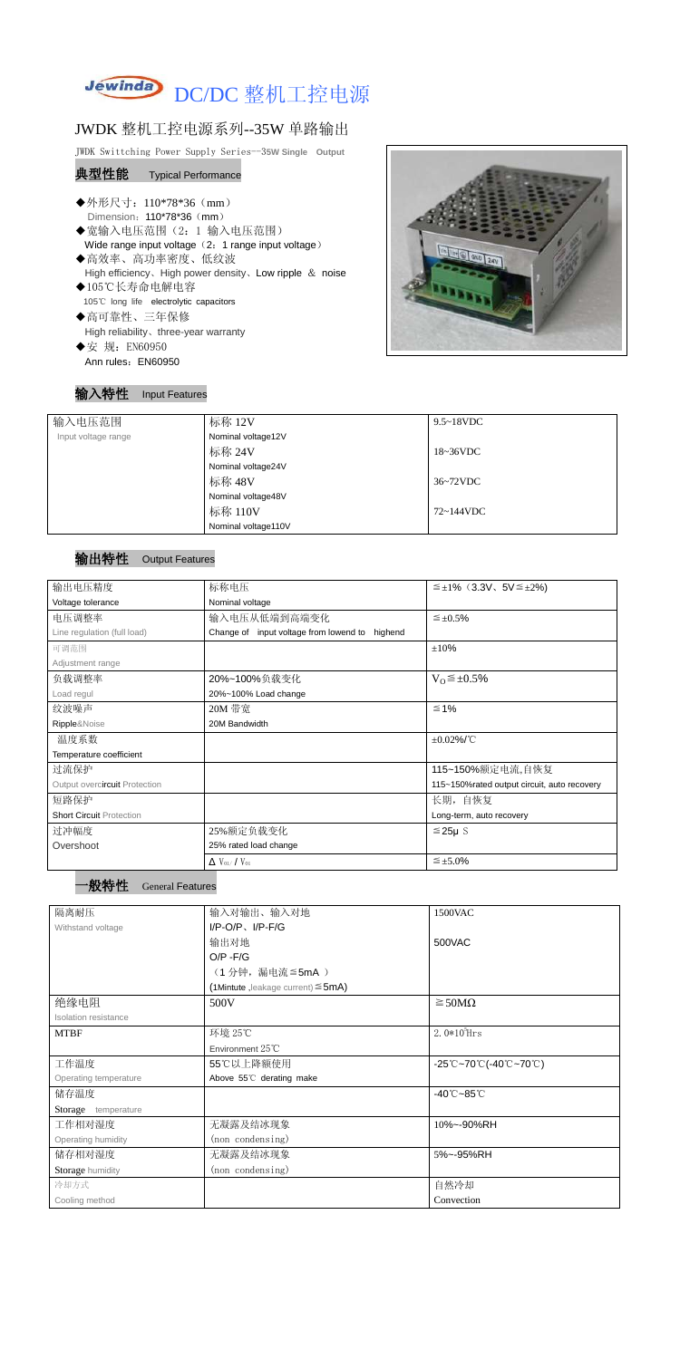

# JWDK 整机工控电源系列--35W 单路输出

JWDK Swittching Power Supply Series--3**5W Single Output**

#### 典型性能 Typical Performance

- ◆外形尺寸: 110\*78\*36 (mm) Dimension: **110\*78\*36** (mm)
- ◆宽输入电压范围(2:1 输入电压范围) Wide range input voltage (2: 1 range input voltage)
- ◆高效率、高功率密度、低纹波 High efficiency、High power density、Low ripple & noise
- ◆105℃长寿命电解电容 105℃ long life electrolytic capacitors
- ◆高可靠性、三年保修 High reliability、three-year warranty
- ◆安 规: EN60950 Ann rules: EN60950



### 输入特性 Input Features

| 输入电压范围              | 标称 12V              | $9.5 - 18$ VDC |
|---------------------|---------------------|----------------|
| Input voltage range | Nominal voltage12V  |                |
|                     | 标称 24V              | $18\sim36$ VDC |
|                     | Nominal voltage24V  |                |
|                     | 标称 48V              | $36~72$ VDC    |
|                     | Nominal voltage48V  |                |
|                     | 标称 110V             | 72~144VDC      |
|                     | Nominal voltage110V |                |

#### 输出特性 Output Features

一般特性 General Features

| 输出电压精度                          | 标称电压<br>$\leq \pm 1\%$ (3.3V, 5V $\leq \pm 2\%$ ) |                                              |  |
|---------------------------------|---------------------------------------------------|----------------------------------------------|--|
| Voltage tolerance               | Nominal voltage                                   |                                              |  |
| 电压调整率                           | 输入电压从低端到高端变化                                      | $\leq \pm 0.5\%$                             |  |
| Line regulation (full load)     | Change of input voltage from lowend to<br>highend |                                              |  |
| 可调范围                            |                                                   | ±10%                                         |  |
| Adjustment range                |                                                   |                                              |  |
| 负载调整率                           | 20%~100%负载变化                                      | $V_0 \leq \pm 0.5\%$                         |  |
| Load regul                      | 20%~100% Load change                              |                                              |  |
| 纹波噪声                            | 20M 带宽                                            | $\leq 1\%$                                   |  |
| Ripple&Noise                    | 20M Bandwidth                                     |                                              |  |
| 温度系数                            |                                                   | $\pm 0.02\%$ /°C                             |  |
| Temperature coefficient         |                                                   |                                              |  |
| 过流保护                            |                                                   | 115~150%额定电流,自恢复                             |  |
| Output overcircuit Protection   |                                                   | 115~150% rated output circuit, auto recovery |  |
| 短路保护                            |                                                   | 长期, 自恢复                                      |  |
| <b>Short Circuit Protection</b> |                                                   | Long-term, auto recovery                     |  |
| 过冲幅度                            | 25%额定负载变化                                         | $≤25\mu$ S                                   |  |
| Overshoot                       | 25% rated load change                             |                                              |  |
|                                 | $\Delta$ V <sub>01</sub> /V <sub>01</sub>         | $\leq \pm 5.0\%$                             |  |

| 隔离耐压                  | 输入对输出、输入对地<br>1500VAC                   |                                                                                       |  |
|-----------------------|-----------------------------------------|---------------------------------------------------------------------------------------|--|
| Withstand voltage     | $I/P$ -O/P, $I/P$ -F/G                  |                                                                                       |  |
|                       | 输出对地                                    | 500VAC                                                                                |  |
|                       | $O/P - F/G$                             |                                                                                       |  |
|                       | (1分钟,漏电流 ≦5mA)                          |                                                                                       |  |
|                       | (1Mintute, leakage current) $\leq$ 5mA) |                                                                                       |  |
| 绝缘电阻                  | 500V<br>$\geq$ 50M $\Omega$             |                                                                                       |  |
| Isolation resistance  |                                         |                                                                                       |  |
| <b>MTBF</b>           | $2.0*105$ Hrs<br>环境 25℃                 |                                                                                       |  |
|                       | Environment $25^{\circ}$ C              |                                                                                       |  |
| 工作温度                  | 55℃以上降额使用                               | $-25^{\circ}\text{C}-70^{\circ}\text{C}$ (-40 $^{\circ}\text{C}-70^{\circ}\text{C}$ ) |  |
| Operating temperature | Above 55°C derating make                |                                                                                       |  |
| 储存温度                  |                                         | $-40^{\circ}$ C $-85^{\circ}$ C                                                       |  |
| Storage temperature   |                                         |                                                                                       |  |
| 工作相对湿度                | 无凝露及结冰现象                                | 10%~-90%RH                                                                            |  |
| Operating humidity    | (non condensing)                        |                                                                                       |  |
| 储存相对湿度                | 无凝露及结冰现象                                | 5%~-95%RH                                                                             |  |
| Storage humidity      | (non condensing)                        |                                                                                       |  |
| 冷却方式                  |                                         | 自然冷却                                                                                  |  |
| Cooling method        |                                         | Convection                                                                            |  |